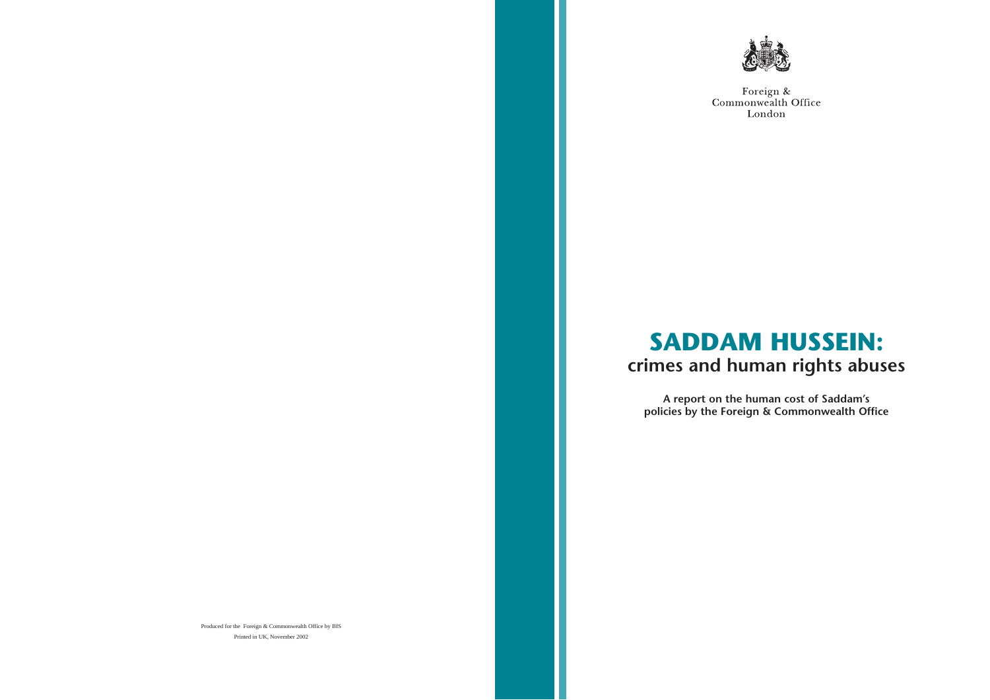# **SADDAM HUSSEIN: crimes and human rights abuses**





**A report on the human cost of Saddam's policies by the Foreign & Commonwealth Office**

Produced for the Foreign & Commonwealth Office by BfS Printed in UK, November 2002

Foreign &<br>Commonwealth Office London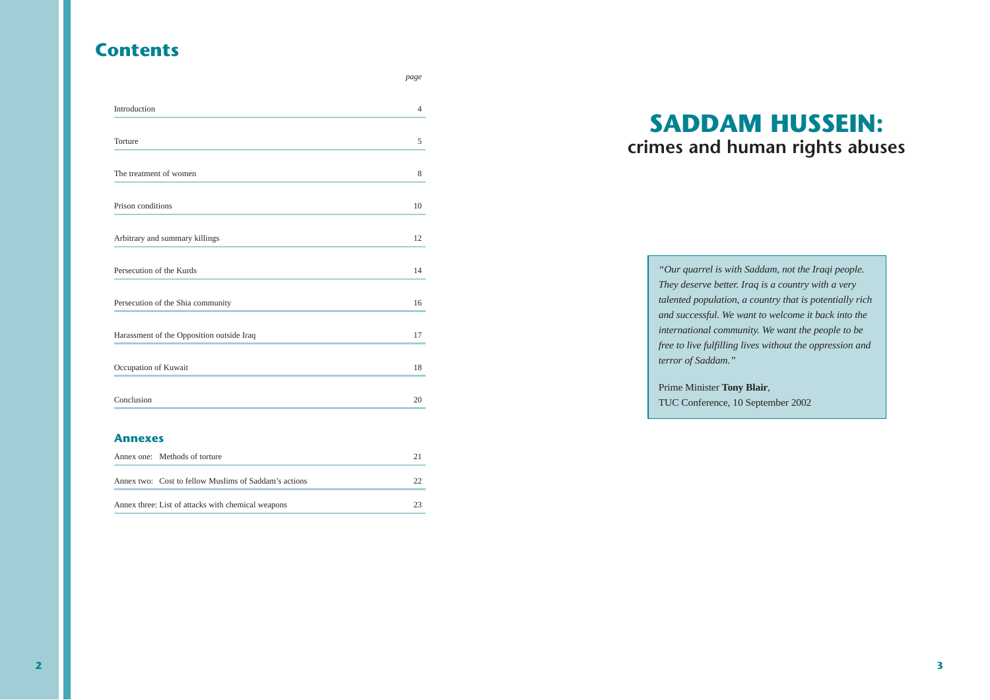# **Contents**

*page*

Introduction 4 Torture 5 The treatment of women 8 Prison conditions 10 Arbitrary and summary killings 12 Persecution of the Kurds 14 Persecution of the Shia community 16 Harassment of the Opposition outside Iraq 17 Occupation of Kuwait 18 Conclusion 20

## **Annexes**

| Annex one: Methods of torture                         |  |
|-------------------------------------------------------|--|
| Annex two: Cost to fellow Muslims of Saddam's actions |  |
| Annex three: List of attacks with chemical weapons    |  |

# **SADDAM HUSSEIN: crimes and human rights abuses**

*"Our quarrel is with Saddam, not the Iraqi people. They deserve better. Iraq is a country with a very talented population, a country that is potentially rich and successful. We want to welcome it back into the international community. We want the people to be free to live fulfilling lives without the oppression and terror of Saddam."*

Prime Minister **Tony Blair**, TUC Conference, 10 September 2002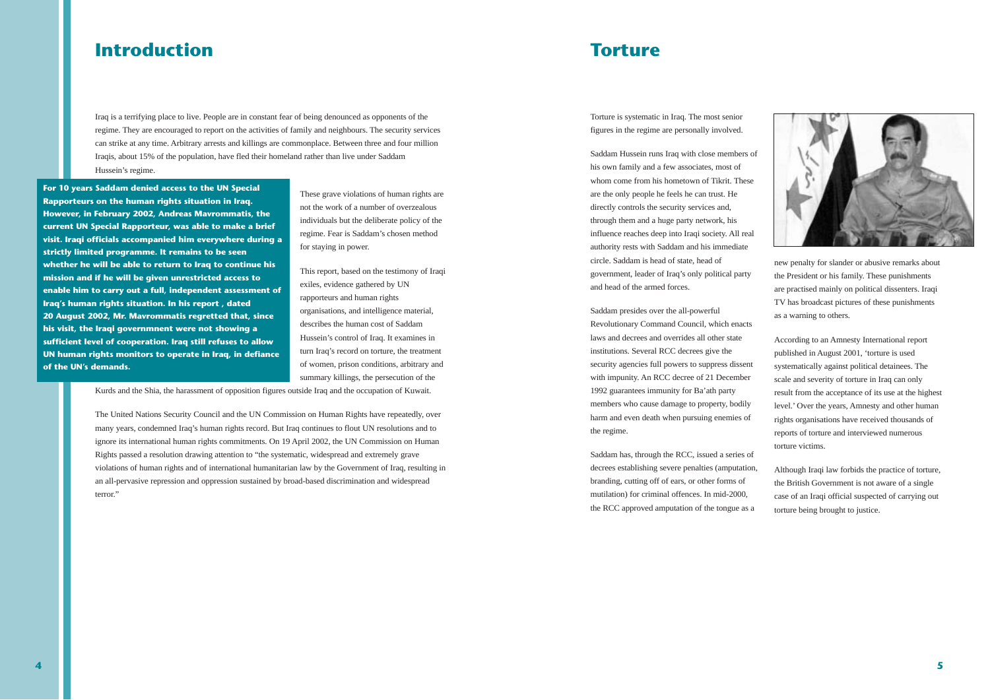Torture is systematic in Iraq. The most senior figures in the regime are personally involved.

Saddam Hussein runs Iraq with close members of his own family and a few associates, most of whom come from his hometown of Tikrit. These are the only people he feels he can trust. He directly controls the security services and, through them and a huge party network, his influence reaches deep into Iraqi society. All real authority rests with Saddam and his immediate circle. Saddam is head of state, head of government, leader of Iraq's only political party and head of the armed forces.

Saddam presides over the all-powerful Revolutionary Command Council, which enacts laws and decrees and overrides all other state institutions. Several RCC decrees give the security agencies full powers to suppress dissent with impunity. An RCC decree of 21 December 1992 guarantees immunity for Ba'ath party members who cause damage to property, bodily harm and even death when pursuing enemies of the regime.

# **Torture**

new penalty for slander or abusive remarks about the President or his family. These punishments are practised mainly on political dissenters. Iraqi TV has broadcast pictures of these punishments as a warning to others.

Saddam has, through the RCC, issued a series of decrees establishing severe penalties (amputation, branding, cutting off of ears, or other forms of mutilation) for criminal offences. In mid-2000, the RCC approved amputation of the tongue as a Although Iraqi law forbids the practice of torture, the British Government is not aware of a single case of an Iraqi official suspected of carrying out torture being brought to justice.



According to an Amnesty International report published in August 2001, 'torture is used systematically against political detainees. The scale and severity of torture in Iraq can only result from the acceptance of its use at the highest level.' Over the years, Amnesty and other human rights organisations have received thousands of reports of torture and interviewed numerous torture victims.

Iraq is a terrifying place to live. People are in constant fear of being denounced as opponents of the regime. They are encouraged to report on the activities of family and neighbours. The security services can strike at any time. Arbitrary arrests and killings are commonplace. Between three and four million Iraqis, about 15% of the population, have fled their homeland rather than live under Saddam Hussein's regime.

> These grave violations of human rights are not the work of a number of overzealous individuals but the deliberate policy of the regime. Fear is Saddam's chosen method for staying in power.

> This report, based on the testimony of Iraqi exiles, evidence gathered by UN rapporteurs and human rights organisations, and intelligence material, describes the human cost of Saddam Hussein's control of Iraq. It examines in turn Iraq's record on torture, the treatment of women, prison conditions, arbitrary and summary killings, the persecution of the

Kurds and the Shia, the harassment of opposition figures outside Iraq and the occupation of Kuwait.

The United Nations Security Council and the UN Commission on Human Rights have repeatedly, over many years, condemned Iraq's human rights record. But Iraq continues to flout UN resolutions and to ignore its international human rights commitments. On 19 April 2002, the UN Commission on Human Rights passed a resolution drawing attention to "the systematic, widespread and extremely grave violations of human rights and of international humanitarian law by the Government of Iraq, resulting in an all-pervasive repression and oppression sustained by broad-based discrimination and widespread terror."

**For 10 years Saddam denied access to the UN Special Rapporteurs on the human rights situation in Iraq. However, in February 2002, Andreas Mavrommatis, the current UN Special Rapporteur, was able to make a brief visit. Iraqi officials accompanied him everywhere during a strictly limited programme. It remains to be seen whether he will be able to return to Iraq to continue his mission and if he will be given unrestricted access to enable him to carry out a full, independent assessment of Iraq's human rights situation. In his report , dated 20 August 2002, Mr. Mavrommatis regretted that, since his visit, the Iraqi governmnent were not showing a sufficient level of cooperation. Iraq still refuses to allow UN human rights monitors to operate in Iraq, in defiance of the UN's demands.**

# **Introduction**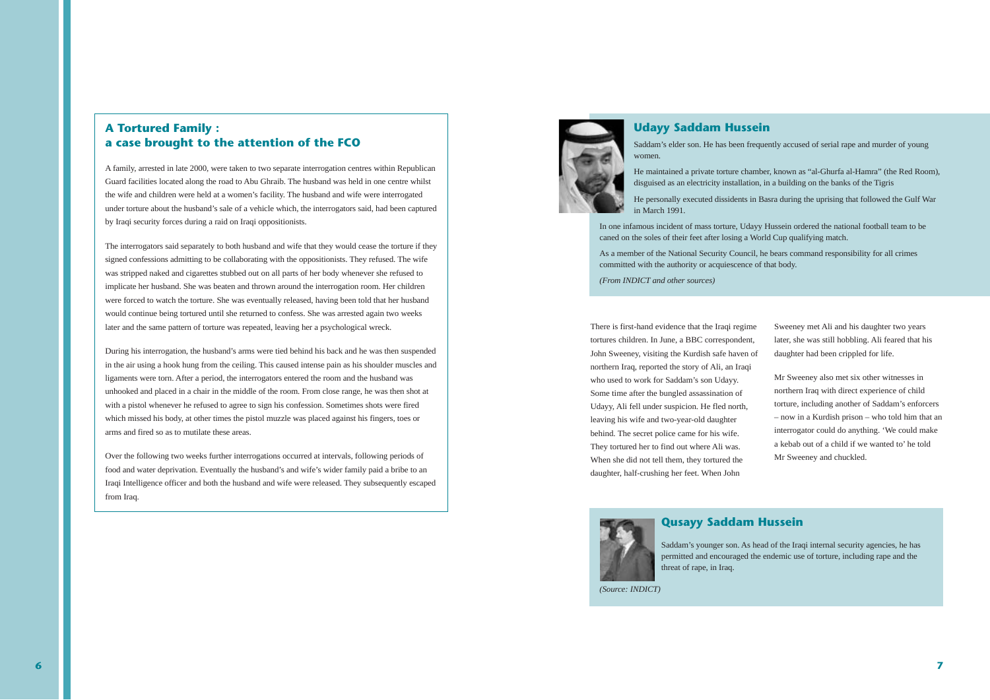## **Qusayy Saddam Hussein**

Saddam's younger son. As head of the Iraqi internal security agencies, he has permitted and encouraged the endemic use of torture, including rape and the

threat of rape, in Iraq.

*(Source: INDICT)*

There is first-hand evidence that the Iraqi regime tortures children. In June, a BBC correspondent, John Sweeney, visiting the Kurdish safe haven of northern Iraq, reported the story of Ali, an Iraqi who used to work for Saddam's son Udayy. Some time after the bungled assassination of Udayy, Ali fell under suspicion. He fled north, leaving his wife and two-year-old daughter behind. The secret police came for his wife. They tortured her to find out where Ali was. When she did not tell them, they tortured the daughter, half-crushing her feet. When John



Sweeney met Ali and his daughter two years later, she was still hobbling. Ali feared that his daughter had been crippled for life.

Mr Sweeney also met six other witnesses in northern Iraq with direct experience of child torture, including another of Saddam's enforcers – now in a Kurdish prison – who told him that an interrogator could do anything. 'We could make a kebab out of a child if we wanted to' he told Mr Sweeney and chuckled.

## **A Tortured Family : a case brought to the attention of the FCO**

A family, arrested in late 2000, were taken to two separate interrogation centres within Republican Guard facilities located along the road to Abu Ghraib. The husband was held in one centre whilst the wife and children were held at a women's facility. The husband and wife were interrogated under torture about the husband's sale of a vehicle which, the interrogators said, had been captured by Iraqi security forces during a raid on Iraqi oppositionists.

The interrogators said separately to both husband and wife that they would cease the torture if they signed confessions admitting to be collaborating with the oppositionists. They refused. The wife was stripped naked and cigarettes stubbed out on all parts of her body whenever she refused to implicate her husband. She was beaten and thrown around the interrogation room. Her children were forced to watch the torture. She was eventually released, having been told that her husband would continue being tortured until she returned to confess. She was arrested again two weeks later and the same pattern of torture was repeated, leaving her a psychological wreck.

During his interrogation, the husband's arms were tied behind his back and he was then suspended in the air using a hook hung from the ceiling. This caused intense pain as his shoulder muscles and ligaments were torn. After a period, the interrogators entered the room and the husband was unhooked and placed in a chair in the middle of the room. From close range, he was then shot at with a pistol whenever he refused to agree to sign his confession. Sometimes shots were fired which missed his body, at other times the pistol muzzle was placed against his fingers, toes or arms and fired so as to mutilate these areas.

Over the following two weeks further interrogations occurred at intervals, following periods of food and water deprivation. Eventually the husband's and wife's wider family paid a bribe to an Iraqi Intelligence officer and both the husband and wife were released. They subsequently escaped from Iraq.



## **Udayy Saddam Hussein**

Saddam's elder son. He has been frequently accused of serial rape and murder of young women.

He maintained a private torture chamber, known as "al-Ghurfa al-Hamra" (the Red Room), disguised as an electricity installation, in a building on the banks of the Tigris

He personally executed dissidents in Basra during the uprising that followed the Gulf War

in March 1991.

In one infamous incident of mass torture, Udayy Hussein ordered the national football team to be caned on the soles of their feet after losing a World Cup qualifying match.

As a member of the National Security Council, he bears command responsibility for all crimes committed with the authority or acquiescence of that body.

*(From INDICT and other sources)*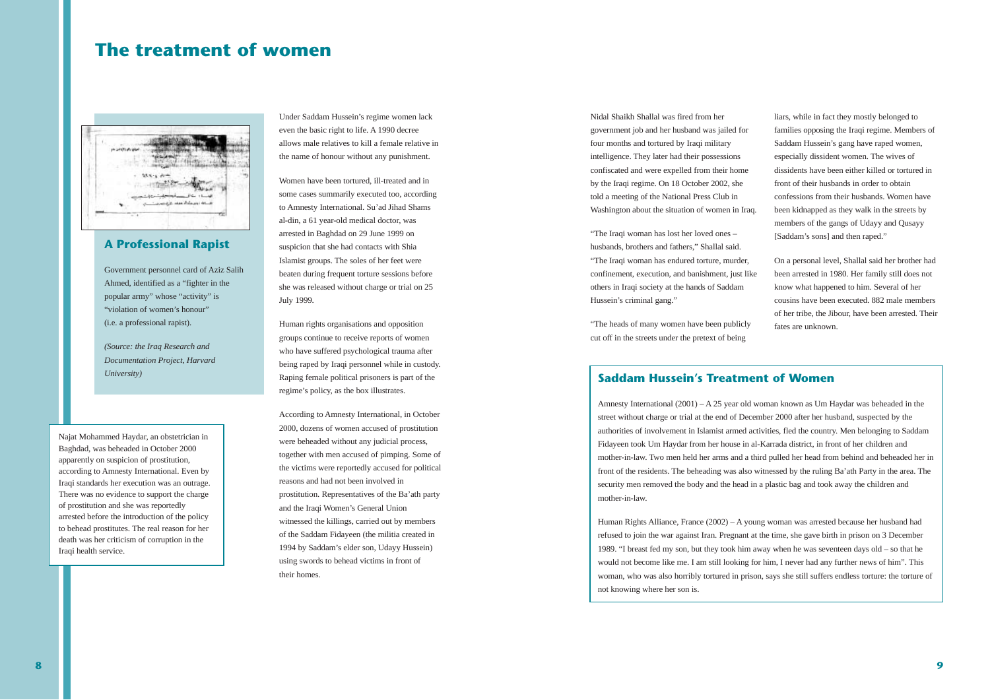## **The treatment of women**



Under Saddam Hussein's regime women lack even the basic right to life. A 1990 decree allows male relatives to kill a female relative in the name of honour without any punishment.

Women have been tortured, ill-treated and in some cases summarily executed too, according to Amnesty International. Su'ad Jihad Shams al-din, a 61 year-old medical doctor, was arrested in Baghdad on 29 June 1999 on suspicion that she had contacts with Shia Islamist groups. The soles of her feet were beaten during frequent torture sessions before she was released without charge or trial on 25 July 1999.

Human rights organisations and opposition groups continue to receive reports of women who have suffered psychological trauma after being raped by Iraqi personnel while in custody. Raping female political prisoners is part of the regime's policy, as the box illustrates.

Nidal Shaikh Shallal was fired from her government job and her husband was jailed for four months and tortured by Iraqi military intelligence. They later had their possessions confiscated and were expelled from their home by the Iraqi regime. On 18 October 2002, she told a meeting of the National Press Club in Washington about the situation of women in Iraq.

According to Amnesty International, in October 2000, dozens of women accused of prostitution were beheaded without any judicial process, together with men accused of pimping. Some of the victims were reportedly accused for political reasons and had not been involved in prostitution. Representatives of the Ba'ath party and the Iraqi Women's General Union witnessed the killings, carried out by members of the Saddam Fidayeen (the militia created in 1994 by Saddam's elder son, Udayy Hussein) using swords to behead victims in front of their homes.

### **A Professional Rapist**

Government personnel card of Aziz Salih Ahmed, identified as a "fighter in the popular army" whose "activity" is "violation of women's honour" (i.e. a professional rapist).

*(Source: the Iraq Research and Documentation Project, Harvard University)*

"The Iraqi woman has lost her loved ones – husbands, brothers and fathers," Shallal said. "The Iraqi woman has endured torture, murder, confinement, execution, and banishment, just like others in Iraqi society at the hands of Saddam Hussein's criminal gang."

"The heads of many women have been publicly cut off in the streets under the pretext of being

|    | liars, while in fact they mostly belonged to      |
|----|---------------------------------------------------|
|    | families opposing the Iraqi regime. Members of    |
|    | Saddam Hussein's gang have raped women,           |
|    | especially dissident women. The wives of          |
|    | dissidents have been either killed or tortured in |
|    | front of their husbands in order to obtain        |
|    | confessions from their husbands. Women have       |
| q. | been kidnapped as they walk in the streets by     |
|    | members of the gangs of Udayy and Qusayy          |
|    | [Saddam's sons] and then raped."                  |
|    |                                                   |
|    |                                                   |

On a personal level, Shallal said her brother had been arrested in 1980. Her family still does not know what happened to him. Several of her cousins have been executed. 882 male members of her tribe, the Jibour, have been arrested. Their fates are unknown.

## **Saddam Hussein's Treatment of Women**

Amnesty International (2001) – A 25 year old woman known as Um Haydar was beheaded in the street without charge or trial at the end of December 2000 after her husband, suspected by the authorities of involvement in Islamist armed activities, fled the country. Men belonging to Saddam Fidayeen took Um Haydar from her house in al-Karrada district, in front of her children and mother-in-law. Two men held her arms and a third pulled her head from behind and beheaded her in front of the residents. The beheading was also witnessed by the ruling Ba'ath Party in the area. The security men removed the body and the head in a plastic bag and took away the children and mother-in-law.

Human Rights Alliance, France (2002) – A young woman was arrested because her husband had refused to join the war against Iran. Pregnant at the time, she gave birth in prison on 3 December 1989. "I breast fed my son, but they took him away when he was seventeen days old – so that he would not become like me. I am still looking for him, I never had any further news of him". This woman, who was also horribly tortured in prison, says she still suffers endless torture: the torture of not knowing where her son is.

Najat Mohammed Haydar, an obstetrician in Baghdad, was beheaded in October 2000 apparently on suspicion of prostitution, according to Amnesty International. Even by Iraqi standards her execution was an outrage. There was no evidence to support the charge of prostitution and she was reportedly arrested before the introduction of the policy to behead prostitutes. The real reason for her death was her criticism of corruption in the Iraqi health service.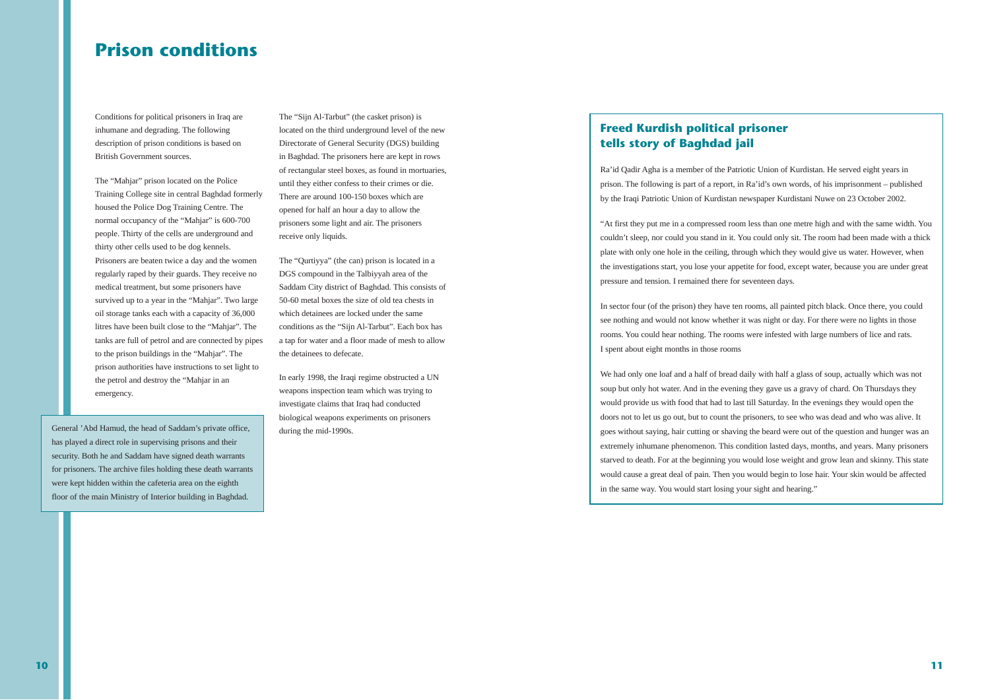Conditions for political prisoners in Iraq are inhumane and degrading. The following description of prison conditions is based on British Government sources.

The "Mahjar" prison located on the Police Training College site in central Baghdad formerly housed the Police Dog Training Centre. The normal occupancy of the "Mahjar" is 600-700 people. Thirty of the cells are underground and thirty other cells used to be dog kennels. Prisoners are beaten twice a day and the women regularly raped by their guards. They receive no medical treatment, but some prisoners have survived up to a year in the "Mahjar". Two large oil storage tanks each with a capacity of 36,000 litres have been built close to the "Mahjar". The tanks are full of petrol and are connected by pipes to the prison buildings in the "Mahjar". The prison authorities have instructions to set light to the petrol and destroy the "Mahjar in an emergency.

# **Prison conditions**

General 'Abd Hamud, the head of Saddam's private office, has played a direct role in supervising prisons and their security. Both he and Saddam have signed death warrants for prisoners. The archive files holding these death warrants were kept hidden within the cafeteria area on the eighth floor of the main Ministry of Interior building in Baghdad.

## **Freed Kurdish political prisoner tells story of Baghdad jail**

Ra'id Qadir Agha is a member of the Patriotic Union of Kurdistan. He served eight years in prison. The following is part of a report, in Ra'id's own words, of his imprisonment – published by the Iraqi Patriotic Union of Kurdistan newspaper Kurdistani Nuwe on 23 October 2002.

"At first they put me in a compressed room less than one metre high and with the same width. You couldn't sleep, nor could you stand in it. You could only sit. The room had been made with a thick plate with only one hole in the ceiling, through which they would give us water. However, when the investigations start, you lose your appetite for food, except water, because you are under great pressure and tension. I remained there for seventeen days.

In sector four (of the prison) they have ten rooms, all painted pitch black. Once there, you could see nothing and would not know whether it was night or day. For there were no lights in those rooms. You could hear nothing. The rooms were infested with large numbers of lice and rats. I spent about eight months in those rooms

We had only one loaf and a half of bread daily with half a glass of soup, actually which was not soup but only hot water. And in the evening they gave us a gravy of chard. On Thursdays they would provide us with food that had to last till Saturday. In the evenings they would open the doors not to let us go out, but to count the prisoners, to see who was dead and who was alive. It goes without saying, hair cutting or shaving the beard were out of the question and hunger was an extremely inhumane phenomenon. This condition lasted days, months, and years. Many prisoners starved to death. For at the beginning you would lose weight and grow lean and skinny. This state would cause a great deal of pain. Then you would begin to lose hair. Your skin would be affected in the same way. You would start losing your sight and hearing."

The "Sijn Al-Tarbut" (the casket prison) is located on the third underground level of the new Directorate of General Security (DGS) building in Baghdad. The prisoners here are kept in rows of rectangular steel boxes, as found in mortuaries, until they either confess to their crimes or die. There are around 100-150 boxes which are opened for half an hour a day to allow the prisoners some light and air. The prisoners receive only liquids.

The "Qurtiyya" (the can) prison is located in a DGS compound in the Talbiyyah area of the Saddam City district of Baghdad. This consists of 50-60 metal boxes the size of old tea chests in which detainees are locked under the same conditions as the "Sijn Al-Tarbut". Each box has a tap for water and a floor made of mesh to allow the detainees to defecate.

In early 1998, the Iraqi regime obstructed a UN weapons inspection team which was trying to investigate claims that Iraq had conducted biological weapons experiments on prisoners during the mid-1990s.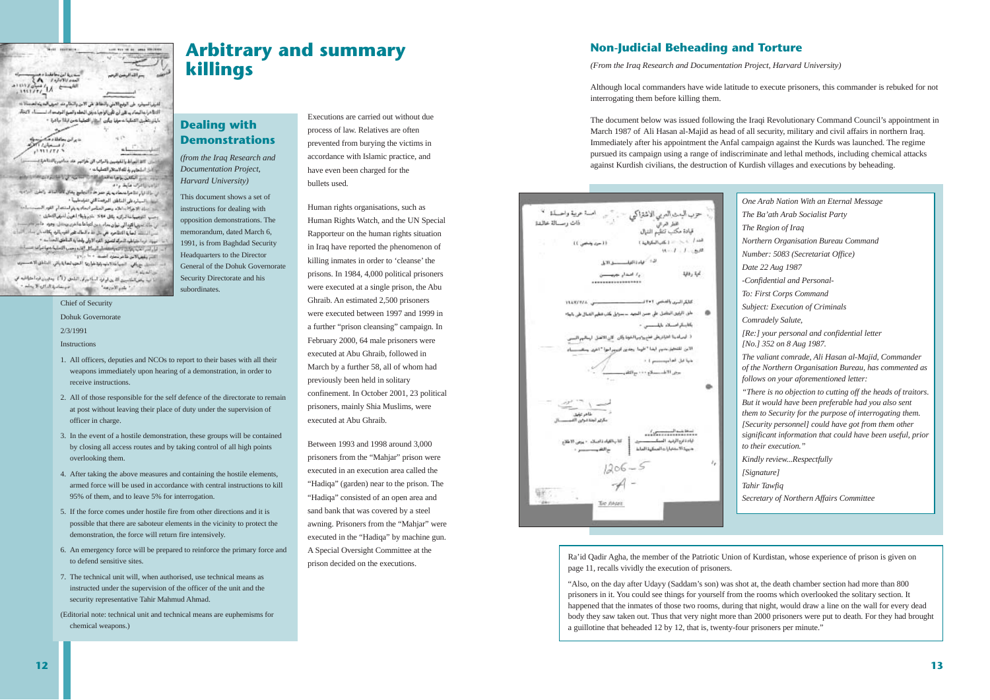$\begin{picture}(180,10) \put(0,0){\line(1,0){10}} \put(0,0){\line(1,0){10}} \put(0,0){\line(1,0){10}} \put(0,0){\line(1,0){10}} \put(0,0){\line(1,0){10}} \put(0,0){\line(1,0){10}} \put(0,0){\line(1,0){10}} \put(0,0){\line(1,0){10}} \put(0,0){\line(1,0){10}} \put(0,0){\line(1,0){10}} \put(0,0){\line(1,0){10}} \put(0,0){\line(1,0){10}} \put(0$ ستراك الرشن الرصر الفيل السيطر، على الوقيع!الالتي والنظاظ على الالن والنظام عنه تعرفي المدينة (محمدة)؟ » ألتكامل عاليماني فليرأى تأورا لوجا عارض الخطه والميغ الترضعه ان المسلم لاتخاه مَا يَسْتِرِينَكُمِينَ السَّمْلِيةَ عَمِيقَةَ وَيَأْتِنَ أَسْتَلَذِ الْحَمِلْيةَ عَنْ قِيلَةً مِأْشِيٍّ \*

ter to it is and thilling

That comes

 $\mathbf{a} \mathbf{L}^{(T)}$  $71117775$ .<br>سال "القالمياط والكونيين والبراني، الن تُقرَّحيم حاد معامير بالفتا مرَّة في وأثاث اسلحاهم به للعلامتان التعليمات Mean Zota Voltages **Mature Concert Ave. 201** فالمسافرات فأبط والا ان بالتاليار الأمراليماديديم حبر هو الجامع يعان كاما لباك والقن البرادية استأن الساردش التاطق البرهمة التي تترب طبيأ 

وسب التوصية عالمرايء يقتل 194 متروفيتا: اعرنُ للنهي التعابل أن عائد تعرفي اللود الى شوان بعام عمن لتجاها عالمرن ويحذل، وهود خاء لنس المللقة كما ية المقامرة على ذل علم المالة على أناوة بالرد بكاتب أن يساء .. أثناءا البرزان أن الكامل المركز لتمزيز اللزوالاولى ولغا رة المناهق العمالية تماركم العب بتواري التهامين في المرسل القاروسي المسلمة عنها عرامه التنزيلها الن كام بعزه است ١٠٠ بارى الشنق جيالي الجيافة لابلو وتطريه العيالما باباني الناطق الاهد للآب بخيالت بين اللهن لوفية اسأليوفي اللمق (1 أ) يعتبرن فردا متباشه عي  $\label{eq:4} \omega_{\alpha\beta} \Psi_{\alpha\beta} \psi_{\alpha\beta} \psi_{\alpha\beta} = \frac{1}{\sqrt{2\pi}} \omega_{\alpha\beta} \Psi_{\alpha\beta} \Psi_{\alpha\beta} \Psi_{\alpha\beta} \Psi_{\beta\beta} \psi_{\alpha\beta}$ 

## **Non-Judicial Beheading and Torture**

*(From the Iraq Research and Documentation Project, Harvard University)*

Although local commanders have wide latitude to execute prisoners, this commander is rebuked for not interrogating them before killing them.

The document below was issued following the Iraqi Revolutionary Command Council's appointment in March 1987 of Ali Hasan al-Majid as head of all security, military and civil affairs in northern Iraq. Immediately after his appointment the Anfal campaign against the Kurds was launched. The regime pursued its campaign using a range of indiscriminate and lethal methods, including chemical attacks against Kurdish civilians, the destruction of Kurdish villages and executions by beheading.

## Executions are carried out without due process of law. Relatives are often prevented from burying the victims in accordance with Islamic practice, and have even been charged for the bullets used.

prison decided on the executions.<br>
Ra'id Qadir Agha, the member of the Patriotic Union of Kurdistan, whose experience of prison is given on<br>
Ra'id Qadir Agha, the member of the Patriotic Union of Kurdistan, whose experienc page 11, recalls vividly the execution of prisoners.

Human rights organisations, such as Human Rights Watch, and the UN Special Rapporteur on the human rights situation in Iraq have reported the phenomenon of killing inmates in order to 'cleanse' the prisons. In 1984, 4,000 political prisoners were executed at a single prison, the Abu Ghraib. An estimated 2,500 prisoners were executed between 1997 and 1999 in a further "prison cleansing" campaign. In February 2000, 64 male prisoners were executed at Abu Ghraib, followed in March by a further 58, all of whom had previously been held in solitary confinement. In October 2001, 23 political prisoners, mainly Shia Muslims, were executed at Abu Ghraib.

Between 1993 and 1998 around 3,000 prisoners from the "Mahjar" prison were executed in an execution area called the "Hadiqa" (garden) near to the prison. The "Hadiqa" consisted of an open area and sand bank that was covered by a steel awning. Prisoners from the "Mahjar" were executed in the "Hadiqa" by machine gun. A Special Oversight Committee at the

> "Also, on the day after Udayy (Saddam's son) was shot at, the death chamber section had more than 800 prisoners in it. You could see things for yourself from the rooms which overlooked the solitary section. It happened that the inmates of those two rooms, during that night, would draw a line on the wall for every dead body they saw taken out. Thus that very night more than 2000 prisoners were put to death. For they had brought a guillotine that beheaded 12 by 12, that is, twenty-four prisoners per minute."

| One Arab Nation With an Eternal Message                                                                                                                                                                                                                                                                                     |  |  |
|-----------------------------------------------------------------------------------------------------------------------------------------------------------------------------------------------------------------------------------------------------------------------------------------------------------------------------|--|--|
| The Ba'ath Arab Socialist Party                                                                                                                                                                                                                                                                                             |  |  |
| The Region of Iraq                                                                                                                                                                                                                                                                                                          |  |  |
| Northern Organisation Bureau Command                                                                                                                                                                                                                                                                                        |  |  |
| Number: 5083 (Secretariat Office)                                                                                                                                                                                                                                                                                           |  |  |
| Date 22 Aug 1987                                                                                                                                                                                                                                                                                                            |  |  |
| -Confidential and Personal-                                                                                                                                                                                                                                                                                                 |  |  |
| To: First Corps Command                                                                                                                                                                                                                                                                                                     |  |  |
| <b>Subject: Execution of Criminals</b>                                                                                                                                                                                                                                                                                      |  |  |
| Comradely Salute,                                                                                                                                                                                                                                                                                                           |  |  |
| [Re:] your personal and confidential letter<br>[No.] 352 on 8 Aug 1987.                                                                                                                                                                                                                                                     |  |  |
| The valiant comrade, Ali Hasan al-Majid, Commander<br>of the Northern Organisation Bureau, has commented as<br>follows on your aforementioned letter:                                                                                                                                                                       |  |  |
| "There is no objection to cutting off the heads of traitors.<br>But it would have been preferable had you also sent<br>them to Security for the purpose of interrogating them.<br>[Security personnel] could have got from them other<br>significant information that could have been useful, prior<br>to their execution." |  |  |
| Kindly reviewRespectfully                                                                                                                                                                                                                                                                                                   |  |  |
| [Signature]                                                                                                                                                                                                                                                                                                                 |  |  |
| Tahir Tawfiq                                                                                                                                                                                                                                                                                                                |  |  |
| Secretary of Northern Affairs Committee                                                                                                                                                                                                                                                                                     |  |  |



# **Arbitrary and summary killings**

**Dealing with**

**Demonstrations**

*(from the Iraq Research and Documentation Project, Harvard University)*

This document shows a set of instructions for dealing with opposition demonstrations. The memorandum, dated March 6, 1991, is from Baghdad Security Headquarters to the Director General of the Dohuk Governorate Security Directorate and his

subordinates.

Chief of Security

### Dohuk Governorate

2/3/1991

Instructions

- 1. All officers, deputies and NCOs to report to their bases with all their weapons immediately upon hearing of a demonstration, in order to receive instructions.
- 2. All of those responsible for the self defence of the directorate to remain at post without leaving their place of duty under the supervision of officer in charge.
- 3. In the event of a hostile demonstration, these groups will be contained by closing all access routes and by taking control of all high points overlooking them.
- 4. After taking the above measures and containing the hostile elements, armed force will be used in accordance with central instructions to kill 95% of them, and to leave 5% for interrogation.
- 5. If the force comes under hostile fire from other directions and it is possible that there are saboteur elements in the vicinity to protect the demonstration, the force will return fire intensively.
- 6. An emergency force will be prepared to reinforce the primary force and to defend sensitive sites.
- 7. The technical unit will, when authorised, use technical means as instructed under the supervision of the officer of the unit and the security representative Tahir Mahmud Ahmad.
- (Editorial note: technical unit and technical means are euphemisms for chemical weapons.)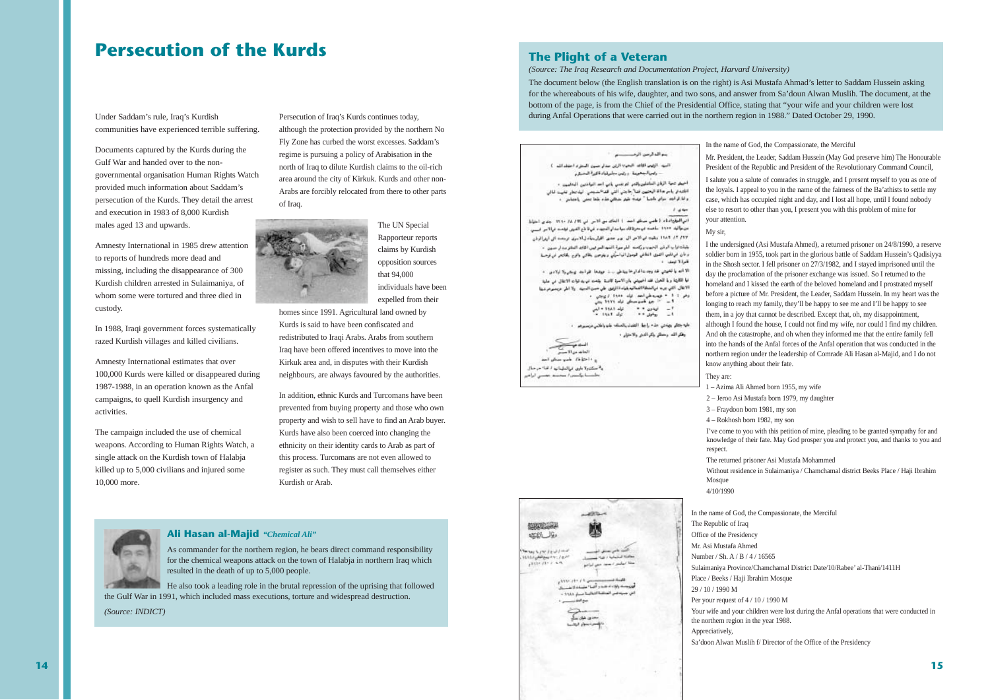

# **Persecution of the Kurds**

Under Saddam's rule, Iraq's Kurdish communities have experienced terrible suffering.

Documents captured by the Kurds during the Gulf War and handed over to the nongovernmental organisation Human Rights Watch provided much information about Saddam's persecution of the Kurds. They detail the arrest and execution in 1983 of 8,000 Kurdish males aged 13 and upwards.

Amnesty International in 1985 drew attention to reports of hundreds more dead and missing, including the disappearance of 300 Kurdish children arrested in Sulaimaniya, of whom some were tortured and three died in custody.

In 1988, Iraqi government forces systematically razed Kurdish villages and killed civilians.

Amnesty International estimates that over 100,000 Kurds were killed or disappeared during 1987-1988, in an operation known as the Anfal campaigns, to quell Kurdish insurgency and activities.

The campaign included the use of chemical weapons. According to Human Rights Watch, a single attack on the Kurdish town of Halabja killed up to 5,000 civilians and injured some 10,000 more.

### **Ali Hasan al-Majid** *"Chemical Ali"*

As commander for the northern region, he bears direct command responsibility for the chemical weapons attack on the town of Halabja in northern Iraq which resulted in the death of up to 5,000 people.

He also took a leading role in the brutal repression of the uprising that followed the Gulf War in 1991, which included mass executions, torture and widespread destruction.

*(Source: INDICT)*

 $-495 -$ **SHUELON SEER JES** الكما ولم بعدي المسب WONTERFEATURE  $\frac{1}{2} \frac{1}{2} \frac{1}{2} \frac{1}{2} \frac{1}{2} \frac{1}{2} \frac{1}{2} \frac{1}{2} \frac{1}{2} \frac{1}{2} \frac{1}{2} \frac{1}{2} \frac{1}{2} \frac{1}{2} \frac{1}{2} \frac{1}{2} \frac{1}{2} \frac{1}{2} \frac{1}{2} \frac{1}{2} \frac{1}{2} \frac{1}{2} \frac{1}{2} \frac{1}{2} \frac{1}{2} \frac{1}{2} \frac{1}{2} \frac{1}{2} \frac{1}{2} \frac{1}{2} \frac{1}{2} \frac{$ **Constantial Gallery** مطا المكتر الميد متي ليانيا هند سنستنب : در ۱۹۶۰ ورود<br>است دور در شده و است أهي جينيه فين العائضة الماليسة مسيار ١٩٨٨ + Contract Automobile Sudde **Automobile** 

Persecution of Iraq's Kurds continues today, although the protection provided by the northern No Fly Zone has curbed the worst excesses. Saddam's regime is pursuing a policy of Arabisation in the north of Iraq to dilute Kurdish claims to the oil-rich area around the city of Kirkuk. Kurds and other non-Arabs are forcibly relocated from there to other parts of Iraq.



The UN Special Rapporteur reports claims by Kurdish opposition sources that 94,000 individuals have been expelled from their

homes since 1991. Agricultural land owned by Kurds is said to have been confiscated and redistributed to Iraqi Arabs. Arabs from southern Iraq have been offered incentives to move into the Kirkuk area and, in disputes with their Kurdish neighbours, are always favoured by the authorities.

In addition, ethnic Kurds and Turcomans have been prevented from buying property and those who own property and wish to sell have to find an Arab buyer. Kurds have also been coerced into changing the ethnicity on their identity cards to Arab as part of this process. Turcomans are not even allowed to register as such. They must call themselves either Kurdish or Arab.



## **The Plight of a Veteran**

*(Source: The Iraq Research and Documentation Project, Harvard University)* The document below (the English translation is on the right) is Asi Mustafa Ahmad's letter to Saddam Hussein asking for the whereabouts of his wife, daughter, and two sons, and answer from Sa'doun Alwan Muslih. The document, at the bottom of the page, is from the Chief of the Presidential Office, stating that "your wife and your children were lost during Anfal Operations that were carried out in the northern region in 1988." Dated October 29, 1990.

البيد الزيم الإله البعي: الري عدار مين البترد احتذاك ) - وانحيا الجحوبية - ورثين مجلي قيادة الفرة التحيش

بموالدارين الرميسي

أحيثر تحية الزفان المأشلين وللمر الترتفسي يأني أمد الباطنين التخضين الخدم بامرهالة ليحين تما إمايتي التي فعالمتهمن اليديمار بغيت لثال وخارفرانيد سوام ملجئا " مهدله طهر سنتلي هذه طفا نعنى باعتباس

### In the name of God, the Compassionate, the Merciful

Mr. President, the Leader, Saddam Hussein (May God preserve him) The Honourable

President of the Republic and President of the Revolutionary Command Council, I salute you a salute of comrades in struggle, and I present myself to you as one of the loyals. I appeal to you in the name of the fairness of the Ba'athists to settle my case, which has occupied night and day, and I lost all hope, until I found nobody else to resort to other than you, I present you with this problem of mine for your attention.

My sir,

الي البرازياء 1 طمي سبتاي اسم . [ الفائد بن 20 س / 11 / 17 / 17 / 19 سندي (مثلة من واليد ١٩٥٥ - ساعت درستر (قاد سياحدار الدين د في قاطع القوى فيلمت في الأمر السبق ٢/ ٢/ ١٩/ ١٩٨٩ بيليون في الاجر الى بوم عدي القرآن بنيامان ألاموى فرجعت الى أرض الوقان بهذه فإن الرذن الجيوب ويُصبه اللرموة الليه المرضى أقاله المقرمة لرحلين -ومأن نمي تقيي الشوى المظني اليجول البراسيتي ويتوسمون بثقافي وانوج بكائبهم نمي توحسة **ALCOHOL** الا آب يا لِمَرش هذا وجد بالدار ما ويذهل ب. 1- مرودها - فراجد - ويجر ولا ارلادي - د فياً الكارية و 1 الحول عند أخيريني بان الأسرة كانت اللحت في بدائية والاعقال في علية ور الاتفاق. أكتي يورت في المنظ المناقعة وقيادة الرئيون علي حسن النبيت . ولا أطر مربعيرهم شيئاً ا سامت - -<br>اساست - - - علم ۱۹۸۹ - ایس<br>اب - روشهن - - - علم ۱۹۸۴ -

بان جاي ريدي منه راجا الغدل المقد طورانكي درسترم . . وفكر الله وحفائر وللرائدي والاحزار ء

العاعدين الاستم and when you do like it a ي<sup>ة</sup> سكتورة باري في الملمانيد / قنا<sup>ء</sup> مرحلل وطنسنة وكسنورة ستحمد مجسور الراهر

I the undersigned (Asi Mustafa Ahmed), a returned prisoner on 24/8/1990, a reserve soldier born in 1955, took part in the glorious battle of Saddam Hussein's Qadisiyya in the Shosh sector. I fell prisoner on 27/3/1982, and I stayed imprisoned until the day the proclamation of the prisoner exchange was issued. So I returned to the homeland and I kissed the earth of the beloved homeland and I prostrated myself before a picture of Mr. President, the Leader, Saddam Hussein. In my heart was the longing to reach my family, they'll be happy to see me and I'll be happy to see them, in a joy that cannot be described. Except that, oh, my disappointment, although I found the house, I could not find my wife, nor could I find my children. And oh the catastrophe, and oh when they informed me that the entire family fell into the hands of the Anfal forces of the Anfal operation that was conducted in the northern region under the leadership of Comrade Ali Hasan al-Majid, and I do not know anything about their fate. They are:

1 – Azima Ali Ahmed born 1955, my wife

2 – Jeroo Asi Mustafa born 1979, my daughter

3 – Fraydoon born 1981, my son 4 – Rokhosh born 1982, my son respect.

I've come to you with this petition of mine, pleading to be granted sympathy for and knowledge of their fate. May God prosper you and protect you, and thanks to you and

The returned prisoner Asi Mustafa Mohammed

Without residence in Sulaimaniya / Chamchamal district Beeks Place / Haji Ibrahim

Mosque 4/10/1990

In the name of God, the Compassionate, the Merciful

Sulaimaniya Province/Chamchamal District Date/10/Rabee' al-Thani/1411H

The Republic of Iraq Office of the Presidency Mr. Asi Mustafa Ahmed Number / Sh. A / B / 4 / 16565 Place / Beeks / Haji Ibrahim Mosque 29 / 10 / 1990 M Per your request of 4 / 10 / 1990 M the northern region in the year 1988. Appreciatively,

Your wife and your children were lost during the Anfal operations that were conducted in

Sa'doon Alwan Muslih f/ Director of the Office of the Presidency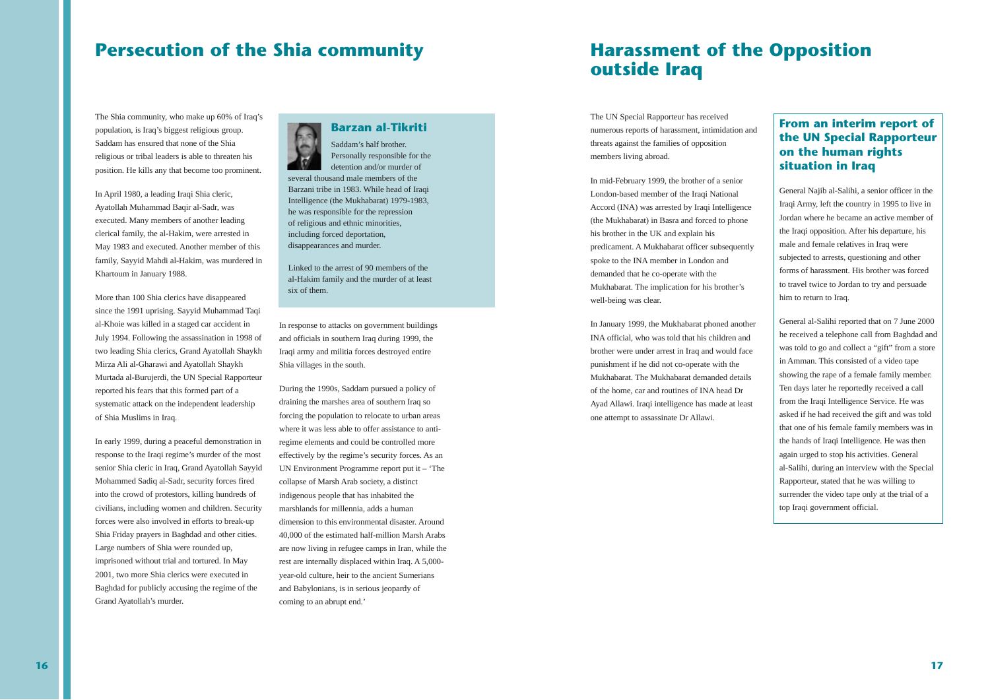# **Harassment of the Opposition outside Iraq**

The UN Special Rapporteur has received numerous reports of harassment, intimidation and threats against the families of opposition members living abroad.

In mid-February 1999, the brother of a senior London-based member of the Iraqi National Accord (INA) was arrested by Iraqi Intelligence (the Mukhabarat) in Basra and forced to phone his brother in the UK and explain his predicament. A Mukhabarat officer subsequently spoke to the INA member in London and demanded that he co-operate with the Mukhabarat. The implication for his brother's well-being was clear.

In January 1999, the Mukhabarat phoned another INA official, who was told that his children and brother were under arrest in Iraq and would face punishment if he did not co-operate with the Mukhabarat. The Mukhabarat demanded details of the home, car and routines of INA head Dr Ayad Allawi. Iraqi intelligence has made at least one attempt to assassinate Dr Allawi.

## **From an interim report of the UN Special Rapporteur on the human rights situation in Iraq**

General Najib al-Salihi, a senior officer in the Iraqi Army, left the country in 1995 to live in Jordan where he became an active member of the Iraqi opposition. After his departure, his male and female relatives in Iraq were subjected to arrests, questioning and other forms of harassment. His brother was forced to travel twice to Jordan to try and persuade him to return to Iraq.

General al-Salihi reported that on 7 June 2000 he received a telephone call from Baghdad and was told to go and collect a "gift" from a store in Amman. This consisted of a video tape showing the rape of a female family member. Ten days later he reportedly received a call from the Iraqi Intelligence Service. He was asked if he had received the gift and was told that one of his female family members was in the hands of Iraqi Intelligence. He was then again urged to stop his activities. General al-Salihi, during an interview with the Special Rapporteur, stated that he was willing to surrender the video tape only at the trial of a top Iraqi government official.

# **Persecution of the Shia community**

The Shia community, who make up 60% of Iraq's population, is Iraq's biggest religious group. Saddam has ensured that none of the Shia religious or tribal leaders is able to threaten his position. He kills any that become too prominent.

In April 1980, a leading Iraqi Shia cleric, Ayatollah Muhammad Baqir al-Sadr, was executed. Many members of another leading clerical family, the al-Hakim, were arrested in May 1983 and executed. Another member of this family, Sayyid Mahdi al-Hakim, was murdered in Khartoum in January 1988.

More than 100 Shia clerics have disappeared since the 1991 uprising. Sayyid Muhammad Taqi al-Khoie was killed in a staged car accident in July 1994. Following the assassination in 1998 of two leading Shia clerics, Grand Ayatollah Shaykh Mirza Ali al-Gharawi and Ayatollah Shaykh Murtada al-Burujerdi, the UN Special Rapporteur reported his fears that this formed part of a systematic attack on the independent leadership of Shia Muslims in Iraq.

In early 1999, during a peaceful demonstration in response to the Iraqi regime's murder of the most senior Shia cleric in Iraq, Grand Ayatollah Sayyid Mohammed Sadiq al-Sadr, security forces fired into the crowd of protestors, killing hundreds of civilians, including women and children. Security forces were also involved in efforts to break-up Shia Friday prayers in Baghdad and other cities. Large numbers of Shia were rounded up, imprisoned without trial and tortured. In May 2001, two more Shia clerics were executed in Baghdad for publicly accusing the regime of the Grand Ayatollah's murder.



In response to attacks on government buildings and officials in southern Iraq during 1999, the Iraqi army and militia forces destroyed entire Shia villages in the south.

During the 1990s, Saddam pursued a policy of draining the marshes area of southern Iraq so forcing the population to relocate to urban areas where it was less able to offer assistance to antiregime elements and could be controlled more effectively by the regime's security forces. As an UN Environment Programme report put it – 'The collapse of Marsh Arab society, a distinct indigenous people that has inhabited the marshlands for millennia, adds a human dimension to this environmental disaster. Around 40,000 of the estimated half-million Marsh Arabs are now living in refugee camps in Iran, while the rest are internally displaced within Iraq. A 5,000 year-old culture, heir to the ancient Sumerians and Babylonians, is in serious jeopardy of coming to an abrupt end.'

### **Barzan al-Tikriti**

Saddam's half brother. Personally responsible for the detention and/or murder of several thousand male members of the Barzani tribe in 1983. While head of Iraqi Intelligence (the Mukhabarat) 1979-1983, he was responsible for the repression of religious and ethnic minorities, including forced deportation, disappearances and murder.

Linked to the arrest of 90 members of the al-Hakim family and the murder of at least six of them.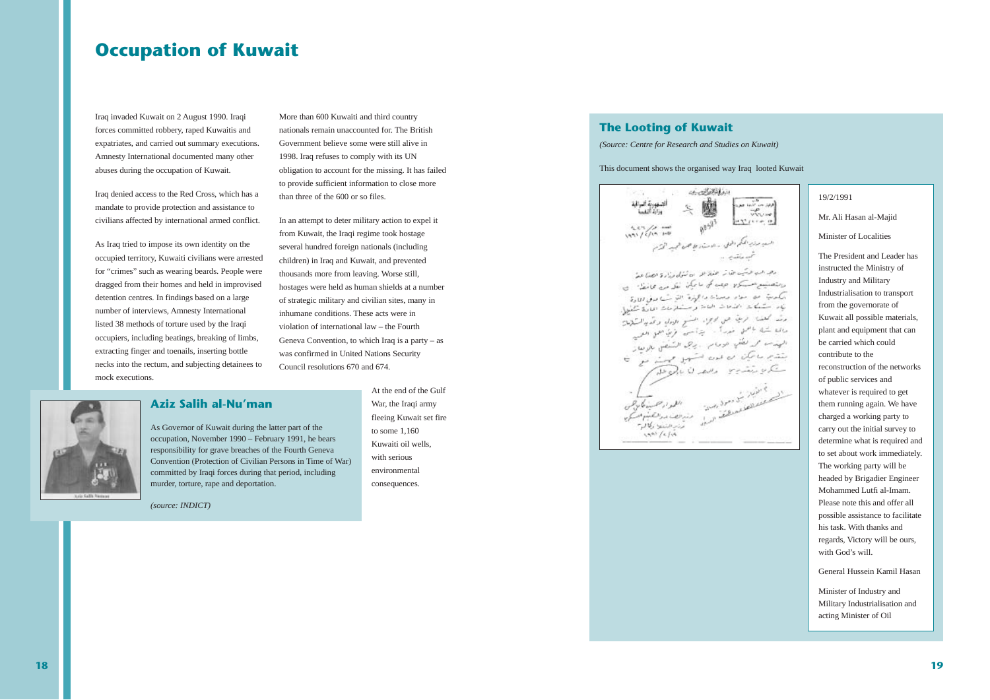## **The Looting of Kuwait**

*(Source: Centre for Research and Studies on Kuwait)*

This document shows the organised way Iraq looted Kuwait

بتراطلات تد  $\begin{picture}(180,10) \put(0,0){\vector(1,0){150}} \put(0,0){\vector(1,0){150}} \put(0,0){\vector(1,0){150}} \put(0,0){\vector(1,0){150}} \put(0,0){\vector(1,0){150}} \put(0,0){\vector(1,0){150}} \put(0,0){\vector(1,0){150}} \put(0,0){\vector(1,0){150}} \put(0,0){\vector(1,0){150}} \put(0,0){\vector(1,0){150}} \put(0,0){\vector(1,0){150}} \put(0,0){\vector($ هم رشد ... رحد الرياضية ترسيكا المداع المعاذ الراسا تشوكه ويزاد فاعصلنا عبثر ردشتستیع سکرد جاما کم با میکم: بای می محافظه ... مكدية الله المعاد وسناخا والوزة التوائث وفي 2012. نیاد است به نیز استفاده مردم استان میتوان اداره<br>نیاد است به نیز استفاده استان و ست باره داده به تکفیل رت است.<br>برت است : تربی هل ادبود. استنج الزالي راتما بالسكردين<br>برانيا شبه با اصلي خدر؟ - ابتدأ سن فرانيا اهلي العلي. الهذمذ ممدنقتي فومام أأيدجى الشنقتي بالإنفار بتش*م ما یک ای شما به استیها* این میشند به ای<br>با تقسیم ما یکی این ماهان استیها Devis in constant مذر المنتفة وكالوس un /est



### 19/2/1991

Mr. Ali Hasan al-Majid

Minister of Localities

The President and Leader has instructed the Ministry of Industry and Military Industrialisation to transport from the governorate of Kuwait all possible materials, plant and equipment that can be carried which could contribute to the reconstruction of the networks of public services and whatever is required to get them running again. We have charged a working party to carry out the initial survey to determine what is required and to set about work immediately. The working party will be headed by Brigadier Engineer Mohammed Lutfi al-Imam. Please note this and offer all possible assistance to facilitate his task. With thanks and regards, Victory will be ours, with God's will.

General Hussein Kamil Hasan

Minister of Industry and Military Industrialisation and acting Minister of Oil

# **Occupation of Kuwait**

Iraq invaded Kuwait on 2 August 1990. Iraqi forces committed robbery, raped Kuwaitis and expatriates, and carried out summary executions. Amnesty International documented many other abuses during the occupation of Kuwait.

Iraq denied access to the Red Cross, which has a mandate to provide protection and assistance to civilians affected by international armed conflict.

As Iraq tried to impose its own identity on the occupied territory, Kuwaiti civilians were arrested for "crimes" such as wearing beards. People were dragged from their homes and held in improvised detention centres. In findings based on a large number of interviews, Amnesty International listed 38 methods of torture used by the Iraqi occupiers, including beatings, breaking of limbs, extracting finger and toenails, inserting bottle necks into the rectum, and subjecting detainees to mock executions.

More than 600 Kuwaiti and third country nationals remain unaccounted for. The British Government believe some were still alive in 1998. Iraq refuses to comply with its UN obligation to account for the missing. It has failed to provide sufficient information to close more than three of the 600 or so files.

In an attempt to deter military action to expel it from Kuwait, the Iraqi regime took hostage several hundred foreign nationals (including children) in Iraq and Kuwait, and prevented thousands more from leaving. Worse still, hostages were held as human shields at a number of strategic military and civilian sites, many in inhumane conditions. These acts were in violation of international law – the Fourth Geneva Convention, to which Iraq is a party – as was confirmed in United Nations Security Council resolutions 670 and 674.



At the end of the Gulf War, the Iraqi army fleeing Kuwait set fire to some 1,160 Kuwaiti oil wells, with serious environmental consequences.

## **Aziz Salih al-Nu'man**

As Governor of Kuwait during the latter part of the occupation, November 1990 – February 1991, he bears responsibility for grave breaches of the Fourth Geneva Convention (Protection of Civilian Persons in Time of War) committed by Iraqi forces during that period, including murder, torture, rape and deportation.

*(source: INDICT)*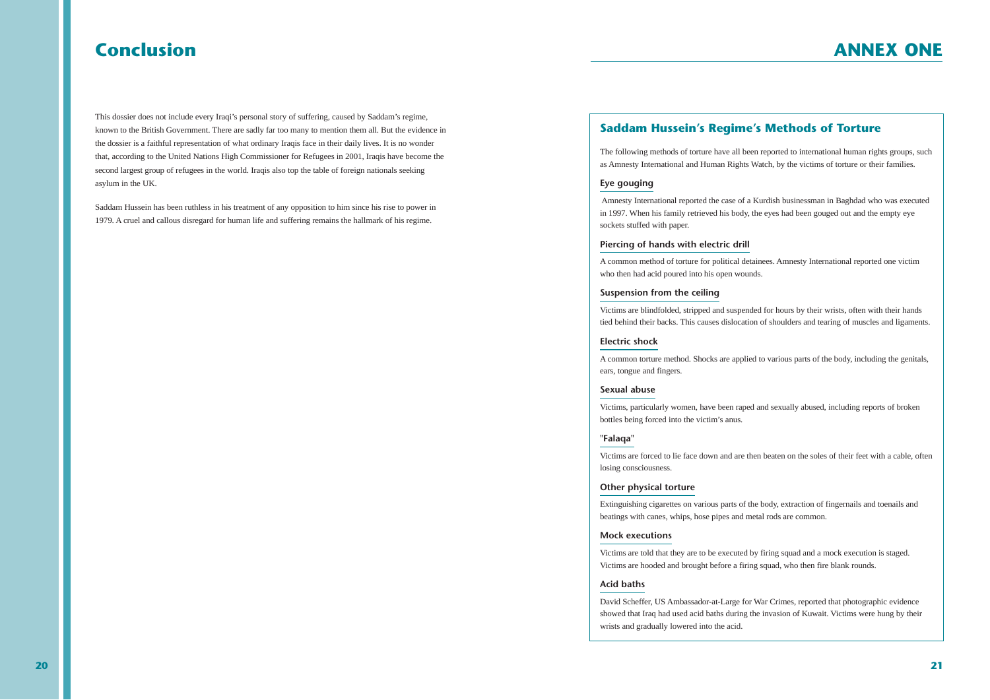# **ANNEX ONE**

## **Saddam Hussein's Regime's Methods of Torture**

The following methods of torture have all been reported to international human rights groups, such as Amnesty International and Human Rights Watch, by the victims of torture or their families.

### **Eye gouging**

Amnesty International reported the case of a Kurdish businessman in Baghdad who was executed in 1997. When his family retrieved his body, the eyes had been gouged out and the empty eye sockets stuffed with paper.

### **Piercing of hands with electric drill**

A common method of torture for political detainees. Amnesty International reported one victim who then had acid poured into his open wounds.

### **Suspension from the ceiling**

Victims are blindfolded, stripped and suspended for hours by their wrists, often with their hands tied behind their backs. This causes dislocation of shoulders and tearing of muscles and ligaments.

### **Electric shock**

A common torture method. Shocks are applied to various parts of the body, including the genitals, ears, tongue and fingers.

### **Sexual abuse**

Victims, particularly women, have been raped and sexually abused, including reports of broken bottles being forced into the victim's anus.

### **"Falaqa"**

Victims are forced to lie face down and are then beaten on the soles of their feet with a cable, often losing consciousness.

### **Other physical torture**

Extinguishing cigarettes on various parts of the body, extraction of fingernails and toenails and beatings with canes, whips, hose pipes and metal rods are common.

### **Mock executions**

Victims are told that they are to be executed by firing squad and a mock execution is staged. Victims are hooded and brought before a firing squad, who then fire blank rounds.

### **Acid baths**

David Scheffer, US Ambassador-at-Large for War Crimes, reported that photographic evidence showed that Iraq had used acid baths during the invasion of Kuwait. Victims were hung by their wrists and gradually lowered into the acid.

# **Conclusion**

This dossier does not include every Iraqi's personal story of suffering, caused by Saddam's regime, known to the British Government. There are sadly far too many to mention them all. But the evidence in the dossier is a faithful representation of what ordinary Iraqis face in their daily lives. It is no wonder that, according to the United Nations High Commissioner for Refugees in 2001, Iraqis have become the second largest group of refugees in the world. Iraqis also top the table of foreign nationals seeking asylum in the UK.

Saddam Hussein has been ruthless in his treatment of any opposition to him since his rise to power in 1979. A cruel and callous disregard for human life and suffering remains the hallmark of his regime.